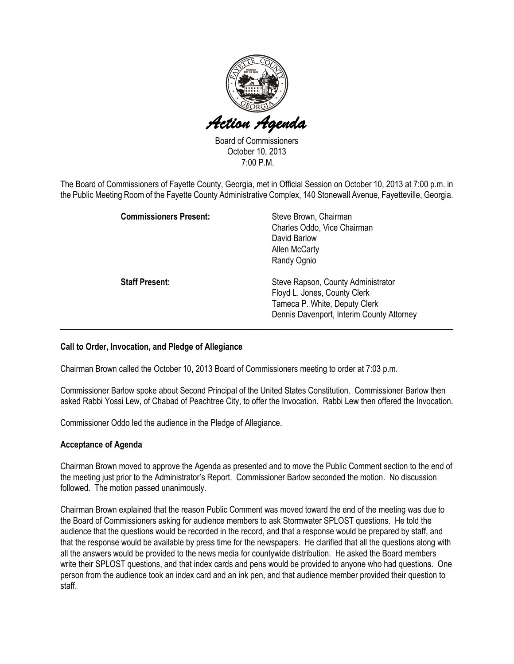

Board of Commissioners October 10, 2013 7:00 P.M.

The Board of Commissioners of Fayette County, Georgia, met in Official Session on October 10, 2013 at 7:00 p.m. in the Public Meeting Room of the Fayette County Administrative Complex, 140 Stonewall Avenue, Fayetteville, Georgia.

| <b>Commissioners Present:</b> | Steve Brown, Chairman<br>Charles Oddo, Vice Chairman<br>David Barlow<br><b>Allen McCarty</b><br>Randy Ognio                                      |
|-------------------------------|--------------------------------------------------------------------------------------------------------------------------------------------------|
| <b>Staff Present:</b>         | Steve Rapson, County Administrator<br>Floyd L. Jones, County Clerk<br>Tameca P. White, Deputy Clerk<br>Dennis Davenport, Interim County Attorney |

### Call to Order, Invocation, and Pledge of Allegiance

Chairman Brown called the October 10, 2013 Board of Commissioners meeting to order at 7:03 p.m.

Commissioner Barlow spoke about Second Principal of the United States Constitution. Commissioner Barlow then asked Rabbi Yossi Lew, of Chabad of Peachtree City, to offer the Invocation. Rabbi Lew then offered the Invocation.

Commissioner Oddo led the audience in the Pledge of Allegiance.

### Acceptance of Agenda

Chairman Brown moved to approve the Agenda as presented and to move the Public Comment section to the end of the meeting just prior to the Administrator's Report. Commissioner Barlow seconded the motion. No discussion followed. The motion passed unanimously.

Chairman Brown explained that the reason Public Comment was moved toward the end of the meeting was due to the Board of Commissioners asking for audience members to ask Stormwater SPLOST questions. He told the audience that the questions would be recorded in the record, and that a response would be prepared by staff, and that the response would be available by press time for the newspapers. He clarified that all the questions along with all the answers would be provided to the news media for countywide distribution. He asked the Board members write their SPLOST questions, and that index cards and pens would be provided to anyone who had questions. One person from the audience took an index card and an ink pen, and that audience member provided their question to staff.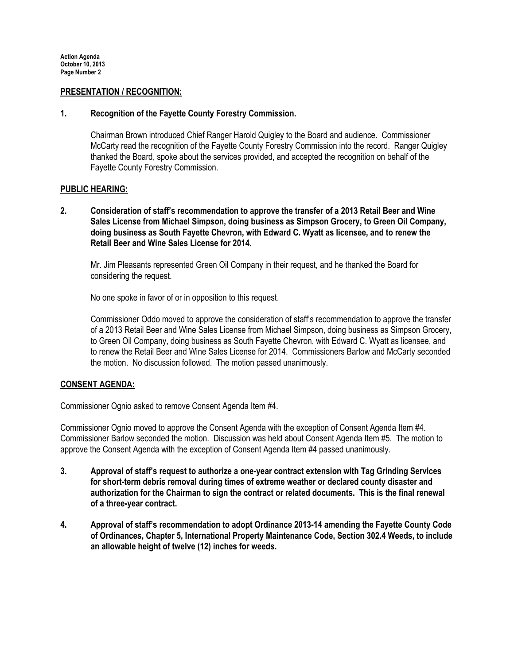### PRESENTATION / RECOGNITION:

#### 1. Recognition of the Fayette County Forestry Commission.

Chairman Brown introduced Chief Ranger Harold Quigley to the Board and audience. Commissioner McCarty read the recognition of the Fayette County Forestry Commission into the record. Ranger Quigley thanked the Board, spoke about the services provided, and accepted the recognition on behalf of the Fayette County Forestry Commission.

### PUBLIC HEARING:

2. Consideration of staff's recommendation to approve the transfer of a 2013 Retail Beer and Wine Sales License from Michael Simpson, doing business as Simpson Grocery, to Green Oil Company, doing business as South Fayette Chevron, with Edward C. Wyatt as licensee, and to renew the Retail Beer and Wine Sales License for 2014.

Mr. Jim Pleasants represented Green Oil Company in their request, and he thanked the Board for considering the request.

No one spoke in favor of or in opposition to this request.

Commissioner Oddo moved to approve the consideration of staff's recommendation to approve the transfer of a 2013 Retail Beer and Wine Sales License from Michael Simpson, doing business as Simpson Grocery, to Green Oil Company, doing business as South Fayette Chevron, with Edward C. Wyatt as licensee, and to renew the Retail Beer and Wine Sales License for 2014. Commissioners Barlow and McCarty seconded the motion. No discussion followed. The motion passed unanimously.

### CONSENT AGENDA:

Commissioner Ognio asked to remove Consent Agenda Item #4.

Commissioner Ognio moved to approve the Consent Agenda with the exception of Consent Agenda Item #4. Commissioner Barlow seconded the motion. Discussion was held about Consent Agenda Item #5. The motion to approve the Consent Agenda with the exception of Consent Agenda Item #4 passed unanimously.

- 3. Approval of staff's request to authorize a one-year contract extension with Tag Grinding Services for short-term debris removal during times of extreme weather or declared county disaster and authorization for the Chairman to sign the contract or related documents. This is the final renewal of a three-year contract.
- 4. Approval of staff's recommendation to adopt Ordinance 2013-14 amending the Fayette County Code of Ordinances, Chapter 5, International Property Maintenance Code, Section 302.4 Weeds, to include an allowable height of twelve (12) inches for weeds.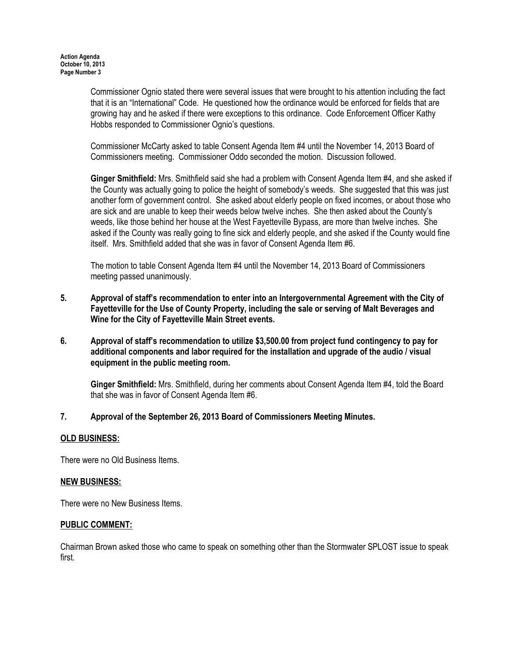Commissioner Ognio stated there were several issues that were brought to his attention including the fact that it is an "International" Code. He questioned how the ordinance would be enforced for fields that are growing hay and he asked if there were exceptions to this ordinance. Code Enforcement Officer Kathy Hobbs responded to Commissioner Ognio's questions.

Commissioner McCarty asked to table Consent Agenda Item #4 until the November 14, 2013 Board of Commissioners meeting. Commissioner Oddo seconded the motion. Discussion followed.

Ginger Smithfield: Mrs. Smithfield said she had a problem with Consent Agenda Item #4, and she asked if the County was actually going to police the height of somebody's weeds. She suggested that this was just another form of government control. She asked about elderly people on fixed incomes, or about those who are sick and are unable to keep their weeds below twelve inches. She then asked about the County's weeds, like those behind her house at the West Fayetteville Bypass, are more than twelve inches. She asked if the County was really going to fine sick and elderly people, and she asked if the County would fine itself. Mrs. Smithfield added that she was in favor of Consent Agenda Item #6.

The motion to table Consent Agenda Item #4 until the November 14, 2013 Board of Commissioners meeting passed unanimously.

- 5. Approval of staff's recommendation to enter into an Intergovernmental Agreement with the City of Fayetteville for the Use of County Property, including the sale or serving of Malt Beverages and Wine for the City of Fayetteville Main Street events.
- 6. Approval of staff's recommendation to utilize \$3,500.00 from project fund contingency to pay for additional components and labor required for the installation and upgrade of the audio / visual equipment in the public meeting room.

Ginger Smithfield: Mrs. Smithfield, during her comments about Consent Agenda Item #4, told the Board that she was in favor of Consent Agenda Item #6.

7. Approval of the September 26, 2013 Board of Commissioners Meeting Minutes.

### OLD BUSINESS:

There were no Old Business Items.

# NEW BUSINESS:

There were no New Business Items.

### PUBLIC COMMENT:

Chairman Brown asked those who came to speak on something other than the Stormwater SPLOST issue to speak first.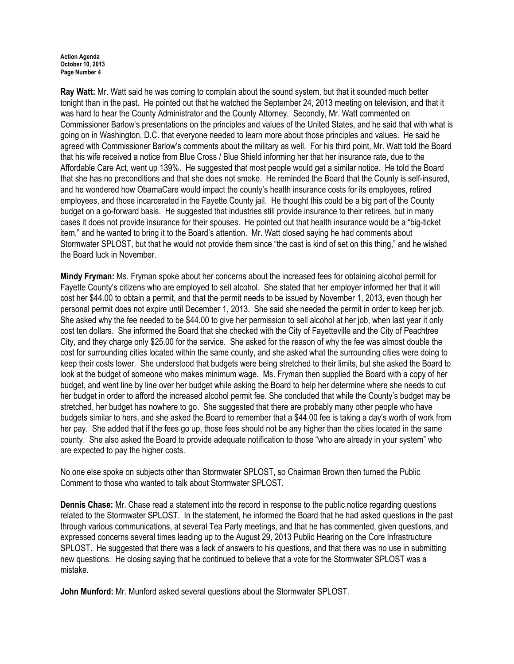Ray Watt: Mr. Watt said he was coming to complain about the sound system, but that it sounded much better tonight than in the past. He pointed out that he watched the September 24, 2013 meeting on television, and that it was hard to hear the County Administrator and the County Attorney. Secondly, Mr. Watt commented on Commissioner Barlow's presentations on the principles and values of the United States, and he said that with what is going on in Washington, D.C. that everyone needed to learn more about those principles and values. He said he agreed with Commissioner Barlow's comments about the military as well. For his third point, Mr. Watt told the Board that his wife received a notice from Blue Cross / Blue Shield informing her that her insurance rate, due to the Affordable Care Act, went up 139%. He suggested that most people would get a similar notice. He told the Board that she has no preconditions and that she does not smoke. He reminded the Board that the County is self-insured, and he wondered how ObamaCare would impact the county's health insurance costs for its employees, retired employees, and those incarcerated in the Fayette County jail. He thought this could be a big part of the County budget on a go-forward basis. He suggested that industries still provide insurance to their retirees, but in many cases it does not provide insurance for their spouses. He pointed out that health insurance would be a "big-ticket item," and he wanted to bring it to the Board's attention. Mr. Watt closed saying he had comments about Stormwater SPLOST, but that he would not provide them since "the cast is kind of set on this thing," and he wished the Board luck in November.

Mindy Fryman: Ms. Fryman spoke about her concerns about the increased fees for obtaining alcohol permit for Fayette County's citizens who are employed to sell alcohol. She stated that her employer informed her that it will cost her \$44.00 to obtain a permit, and that the permit needs to be issued by November 1, 2013, even though her personal permit does not expire until December 1, 2013. She said she needed the permit in order to keep her job. She asked why the fee needed to be \$44.00 to give her permission to sell alcohol at her job, when last year it only cost ten dollars. She informed the Board that she checked with the City of Fayetteville and the City of Peachtree City, and they charge only \$25.00 for the service. She asked for the reason of why the fee was almost double the cost for surrounding cities located within the same county, and she asked what the surrounding cities were doing to keep their costs lower. She understood that budgets were being stretched to their limits, but she asked the Board to look at the budget of someone who makes minimum wage. Ms. Fryman then supplied the Board with a copy of her budget, and went line by line over her budget while asking the Board to help her determine where she needs to cut her budget in order to afford the increased alcohol permit fee. She concluded that while the County's budget may be stretched, her budget has nowhere to go. She suggested that there are probably many other people who have budgets similar to hers, and she asked the Board to remember that a \$44.00 fee is taking a day's worth of work from her pay. She added that if the fees go up, those fees should not be any higher than the cities located in the same county. She also asked the Board to provide adequate notification to those "who are already in your system" who are expected to pay the higher costs.

No one else spoke on subjects other than Stormwater SPLOST, so Chairman Brown then turned the Public Comment to those who wanted to talk about Stormwater SPLOST.

Dennis Chase: Mr. Chase read a statement into the record in response to the public notice regarding questions related to the Stormwater SPLOST. In the statement, he informed the Board that he had asked questions in the past through various communications, at several Tea Party meetings, and that he has commented, given questions, and expressed concerns several times leading up to the August 29, 2013 Public Hearing on the Core Infrastructure SPLOST. He suggested that there was a lack of answers to his questions, and that there was no use in submitting new questions. He closing saying that he continued to believe that a vote for the Stormwater SPLOST was a mistake.

John Munford: Mr. Munford asked several questions about the Stormwater SPLOST.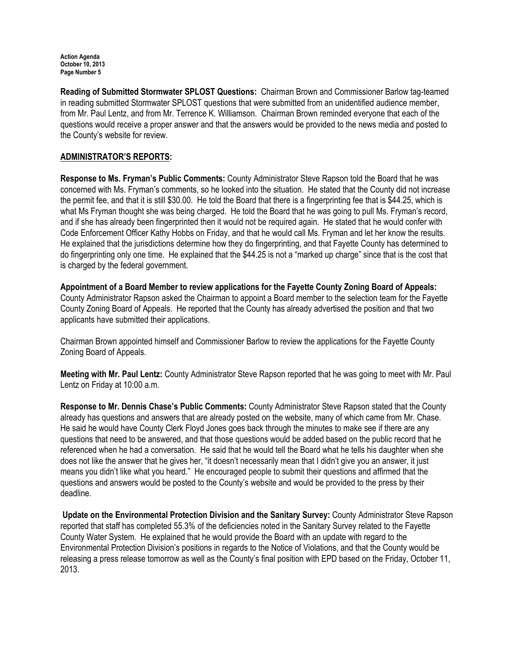Reading of Submitted Stormwater SPLOST Questions: Chairman Brown and Commissioner Barlow tag-teamed in reading submitted Stormwater SPLOST questions that were submitted from an unidentified audience member, from Mr. Paul Lentz, and from Mr. Terrence K. Williamson. Chairman Brown reminded everyone that each of the questions would receive a proper answer and that the answers would be provided to the news media and posted to the County's website for review.

## ADMINISTRATOR'S REPORTS:

Response to Ms. Fryman's Public Comments: County Administrator Steve Rapson told the Board that he was concerned with Ms. Fryman's comments, so he looked into the situation. He stated that the County did not increase the permit fee, and that it is still \$30.00. He told the Board that there is a fingerprinting fee that is \$44.25, which is what Ms Fryman thought she was being charged. He told the Board that he was going to pull Ms. Fryman's record, and if she has already been fingerprinted then it would not be required again. He stated that he would confer with Code Enforcement Officer Kathy Hobbs on Friday, and that he would call Ms. Fryman and let her know the results. He explained that the jurisdictions determine how they do fingerprinting, and that Fayette County has determined to do fingerprinting only one time. He explained that the \$44.25 is not a "marked up charge" since that is the cost that is charged by the federal government.

Appointment of a Board Member to review applications for the Fayette County Zoning Board of Appeals: County Administrator Rapson asked the Chairman to appoint a Board member to the selection team for the Fayette County Zoning Board of Appeals. He reported that the County has already advertised the position and that two applicants have submitted their applications.

Chairman Brown appointed himself and Commissioner Barlow to review the applications for the Fayette County Zoning Board of Appeals.

Meeting with Mr. Paul Lentz: County Administrator Steve Rapson reported that he was going to meet with Mr. Paul Lentz on Friday at 10:00 a.m.

Response to Mr. Dennis Chase's Public Comments: County Administrator Steve Rapson stated that the County already has questions and answers that are already posted on the website, many of which came from Mr. Chase. He said he would have County Clerk Floyd Jones goes back through the minutes to make see if there are any questions that need to be answered, and that those questions would be added based on the public record that he referenced when he had a conversation. He said that he would tell the Board what he tells his daughter when she does not like the answer that he gives her, "it doesn't necessarily mean that I didn't give you an answer, it just means you didn't like what you heard." He encouraged people to submit their questions and affirmed that the questions and answers would be posted to the County's website and would be provided to the press by their deadline.

Update on the Environmental Protection Division and the Sanitary Survey: County Administrator Steve Rapson reported that staff has completed 55.3% of the deficiencies noted in the Sanitary Survey related to the Fayette County Water System. He explained that he would provide the Board with an update with regard to the Environmental Protection Division's positions in regards to the Notice of Violations, and that the County would be releasing a press release tomorrow as well as the County's final position with EPD based on the Friday, October 11, 2013.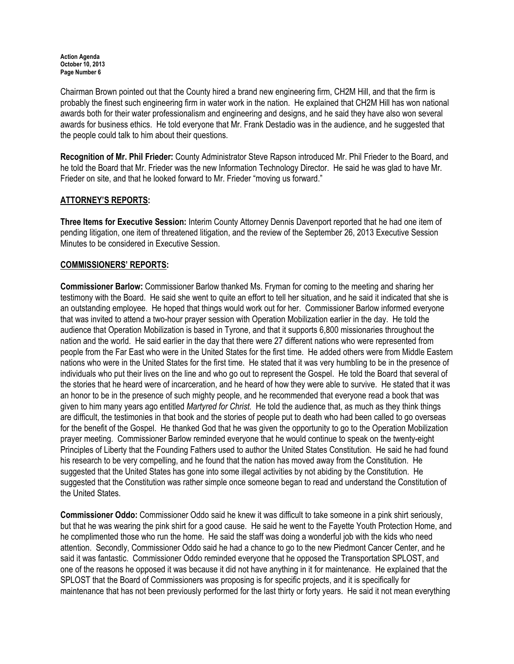Chairman Brown pointed out that the County hired a brand new engineering firm, CH2M Hill, and that the firm is probably the finest such engineering firm in water work in the nation. He explained that CH2M Hill has won national awards both for their water professionalism and engineering and designs, and he said they have also won several awards for business ethics. He told everyone that Mr. Frank Destadio was in the audience, and he suggested that the people could talk to him about their questions.

Recognition of Mr. Phil Frieder: County Administrator Steve Rapson introduced Mr. Phil Frieder to the Board, and he told the Board that Mr. Frieder was the new Information Technology Director. He said he was glad to have Mr. Frieder on site, and that he looked forward to Mr. Frieder "moving us forward."

## ATTORNEY'S REPORTS:

Three Items for Executive Session: Interim County Attorney Dennis Davenport reported that he had one item of pending litigation, one item of threatened litigation, and the review of the September 26, 2013 Executive Session Minutes to be considered in Executive Session.

### COMMISSIONERS' REPORTS:

Commissioner Barlow: Commissioner Barlow thanked Ms. Fryman for coming to the meeting and sharing her testimony with the Board. He said she went to quite an effort to tell her situation, and he said it indicated that she is an outstanding employee. He hoped that things would work out for her. Commissioner Barlow informed everyone that was invited to attend a two-hour prayer session with Operation Mobilization earlier in the day. He told the audience that Operation Mobilization is based in Tyrone, and that it supports 6,800 missionaries throughout the nation and the world. He said earlier in the day that there were 27 different nations who were represented from people from the Far East who were in the United States for the first time. He added others were from Middle Eastern nations who were in the United States for the first time. He stated that it was very humbling to be in the presence of individuals who put their lives on the line and who go out to represent the Gospel. He told the Board that several of the stories that he heard were of incarceration, and he heard of how they were able to survive. He stated that it was an honor to be in the presence of such mighty people, and he recommended that everyone read a book that was given to him many years ago entitled Martyred for Christ. He told the audience that, as much as they think things are difficult, the testimonies in that book and the stories of people put to death who had been called to go overseas for the benefit of the Gospel. He thanked God that he was given the opportunity to go to the Operation Mobilization prayer meeting. Commissioner Barlow reminded everyone that he would continue to speak on the twenty-eight Principles of Liberty that the Founding Fathers used to author the United States Constitution. He said he had found his research to be very compelling, and he found that the nation has moved away from the Constitution. He suggested that the United States has gone into some illegal activities by not abiding by the Constitution. He suggested that the Constitution was rather simple once someone began to read and understand the Constitution of the United States.

Commissioner Oddo: Commissioner Oddo said he knew it was difficult to take someone in a pink shirt seriously, but that he was wearing the pink shirt for a good cause. He said he went to the Fayette Youth Protection Home, and he complimented those who run the home. He said the staff was doing a wonderful job with the kids who need attention. Secondly, Commissioner Oddo said he had a chance to go to the new Piedmont Cancer Center, and he said it was fantastic. Commissioner Oddo reminded everyone that he opposed the Transportation SPLOST, and one of the reasons he opposed it was because it did not have anything in it for maintenance. He explained that the SPLOST that the Board of Commissioners was proposing is for specific projects, and it is specifically for maintenance that has not been previously performed for the last thirty or forty years. He said it not mean everything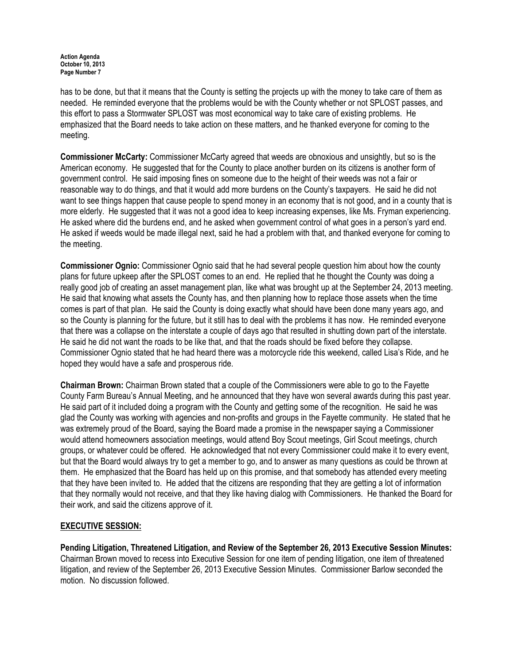has to be done, but that it means that the County is setting the projects up with the money to take care of them as needed. He reminded everyone that the problems would be with the County whether or not SPLOST passes, and this effort to pass a Stormwater SPLOST was most economical way to take care of existing problems. He emphasized that the Board needs to take action on these matters, and he thanked everyone for coming to the meeting.

Commissioner McCarty: Commissioner McCarty agreed that weeds are obnoxious and unsightly, but so is the American economy. He suggested that for the County to place another burden on its citizens is another form of government control. He said imposing fines on someone due to the height of their weeds was not a fair or reasonable way to do things, and that it would add more burdens on the County's taxpayers. He said he did not want to see things happen that cause people to spend money in an economy that is not good, and in a county that is more elderly. He suggested that it was not a good idea to keep increasing expenses, like Ms. Fryman experiencing. He asked where did the burdens end, and he asked when government control of what goes in a person's yard end. He asked if weeds would be made illegal next, said he had a problem with that, and thanked everyone for coming to the meeting.

Commissioner Ognio: Commissioner Ognio said that he had several people question him about how the county plans for future upkeep after the SPLOST comes to an end. He replied that he thought the County was doing a really good job of creating an asset management plan, like what was brought up at the September 24, 2013 meeting. He said that knowing what assets the County has, and then planning how to replace those assets when the time comes is part of that plan. He said the County is doing exactly what should have been done many years ago, and so the County is planning for the future, but it still has to deal with the problems it has now. He reminded everyone that there was a collapse on the interstate a couple of days ago that resulted in shutting down part of the interstate. He said he did not want the roads to be like that, and that the roads should be fixed before they collapse. Commissioner Ognio stated that he had heard there was a motorcycle ride this weekend, called Lisa's Ride, and he hoped they would have a safe and prosperous ride.

Chairman Brown: Chairman Brown stated that a couple of the Commissioners were able to go to the Fayette County Farm Bureau's Annual Meeting, and he announced that they have won several awards during this past year. He said part of it included doing a program with the County and getting some of the recognition. He said he was glad the County was working with agencies and non-profits and groups in the Fayette community. He stated that he was extremely proud of the Board, saying the Board made a promise in the newspaper saying a Commissioner would attend homeowners association meetings, would attend Boy Scout meetings, Girl Scout meetings, church groups, or whatever could be offered. He acknowledged that not every Commissioner could make it to every event, but that the Board would always try to get a member to go, and to answer as many questions as could be thrown at them. He emphasized that the Board has held up on this promise, and that somebody has attended every meeting that they have been invited to. He added that the citizens are responding that they are getting a lot of information that they normally would not receive, and that they like having dialog with Commissioners. He thanked the Board for their work, and said the citizens approve of it.

### EXECUTIVE SESSION:

Pending Litigation, Threatened Litigation, and Review of the September 26, 2013 Executive Session Minutes: Chairman Brown moved to recess into Executive Session for one item of pending litigation, one item of threatened litigation, and review of the September 26, 2013 Executive Session Minutes. Commissioner Barlow seconded the motion. No discussion followed.